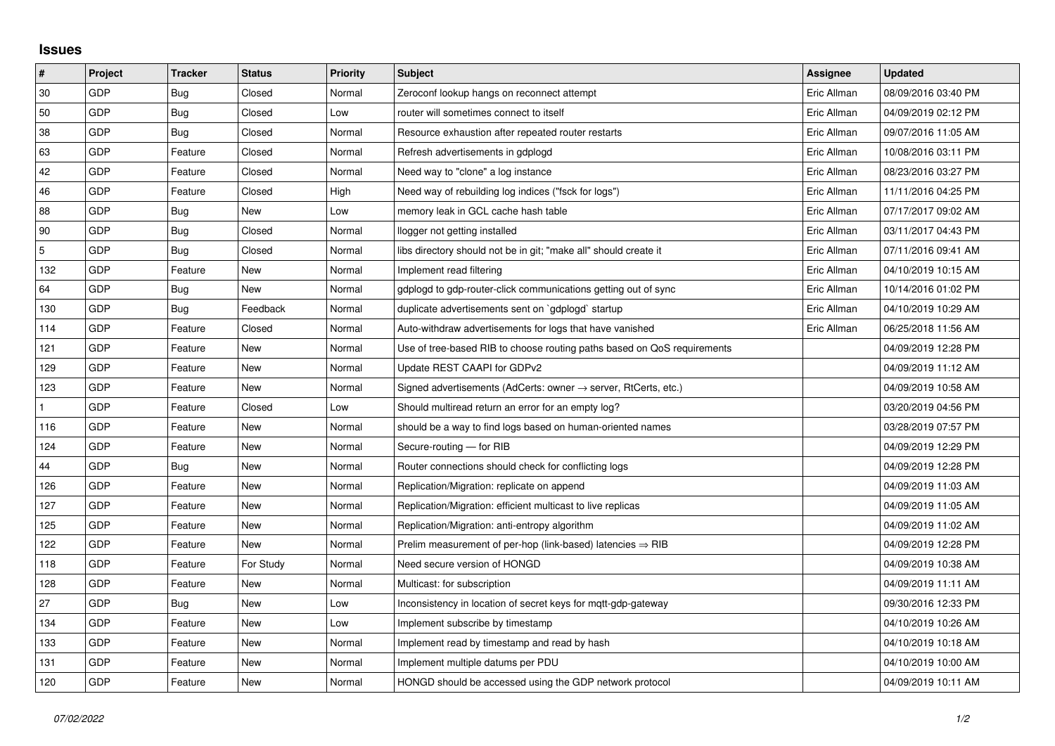## **Issues**

| #   | Project    | <b>Tracker</b> | <b>Status</b> | <b>Priority</b> | <b>Subject</b>                                                             | <b>Assignee</b> | <b>Updated</b>      |
|-----|------------|----------------|---------------|-----------------|----------------------------------------------------------------------------|-----------------|---------------------|
| 30  | GDP        | Bug            | Closed        | Normal          | Zeroconf lookup hangs on reconnect attempt                                 | Eric Allman     | 08/09/2016 03:40 PM |
| 50  | GDP        | <b>Bug</b>     | Closed        | Low             | router will sometimes connect to itself                                    | Eric Allman     | 04/09/2019 02:12 PM |
| 38  | GDP        | Bug            | Closed        | Normal          | Resource exhaustion after repeated router restarts                         | Eric Allman     | 09/07/2016 11:05 AM |
| 63  | GDP        | Feature        | Closed        | Normal          | Refresh advertisements in gdplogd                                          | Eric Allman     | 10/08/2016 03:11 PM |
| 42  | GDP        | Feature        | Closed        | Normal          | Need way to "clone" a log instance                                         | Eric Allman     | 08/23/2016 03:27 PM |
| 46  | <b>GDP</b> | Feature        | Closed        | High            | Need way of rebuilding log indices ("fsck for logs")                       | Eric Allman     | 11/11/2016 04:25 PM |
| 88  | GDP        | Bug            | <b>New</b>    | Low             | memory leak in GCL cache hash table                                        | Eric Allman     | 07/17/2017 09:02 AM |
| 90  | GDP        | Bug            | Closed        | Normal          | llogger not getting installed                                              | Eric Allman     | 03/11/2017 04:43 PM |
| 5   | GDP        | Bug            | Closed        | Normal          | libs directory should not be in git; "make all" should create it           | Eric Allman     | 07/11/2016 09:41 AM |
| 132 | GDP        | Feature        | New           | Normal          | Implement read filtering                                                   | Eric Allman     | 04/10/2019 10:15 AM |
| 64  | GDP        | Bug            | New           | Normal          | gdplogd to gdp-router-click communications getting out of sync             | Eric Allman     | 10/14/2016 01:02 PM |
| 130 | GDP        | Bug            | Feedback      | Normal          | duplicate advertisements sent on `gdplogd` startup                         | Eric Allman     | 04/10/2019 10:29 AM |
| 114 | GDP        | Feature        | Closed        | Normal          | Auto-withdraw advertisements for logs that have vanished                   | Eric Allman     | 06/25/2018 11:56 AM |
| 121 | GDP        | Feature        | New           | Normal          | Use of tree-based RIB to choose routing paths based on QoS requirements    |                 | 04/09/2019 12:28 PM |
| 129 | GDP        | Feature        | New           | Normal          | Update REST CAAPI for GDPv2                                                |                 | 04/09/2019 11:12 AM |
| 123 | GDP        | Feature        | New           | Normal          | Signed advertisements (AdCerts: owner $\rightarrow$ server, RtCerts, etc.) |                 | 04/09/2019 10:58 AM |
|     | GDP        | Feature        | Closed        | Low             | Should multiread return an error for an empty log?                         |                 | 03/20/2019 04:56 PM |
| 116 | GDP        | Feature        | New           | Normal          | should be a way to find logs based on human-oriented names                 |                 | 03/28/2019 07:57 PM |
| 124 | GDP        | Feature        | New           | Normal          | Secure-routing - for RIB                                                   |                 | 04/09/2019 12:29 PM |
| 44  | GDP        | Bug            | <b>New</b>    | Normal          | Router connections should check for conflicting logs                       |                 | 04/09/2019 12:28 PM |
| 126 | GDP        | Feature        | New           | Normal          | Replication/Migration: replicate on append                                 |                 | 04/09/2019 11:03 AM |
| 127 | GDP        | Feature        | New           | Normal          | Replication/Migration: efficient multicast to live replicas                |                 | 04/09/2019 11:05 AM |
| 125 | GDP        | Feature        | <b>New</b>    | Normal          | Replication/Migration: anti-entropy algorithm                              |                 | 04/09/2019 11:02 AM |
| 122 | GDP        | Feature        | New           | Normal          | Prelim measurement of per-hop (link-based) latencies $\Rightarrow$ RIB     |                 | 04/09/2019 12:28 PM |
| 118 | GDP        | Feature        | For Study     | Normal          | Need secure version of HONGD                                               |                 | 04/09/2019 10:38 AM |
| 128 | GDP        | Feature        | New           | Normal          | Multicast: for subscription                                                |                 | 04/09/2019 11:11 AM |
| 27  | GDP        | Bug            | New           | Low             | Inconsistency in location of secret keys for mqtt-gdp-gateway              |                 | 09/30/2016 12:33 PM |
| 134 | GDP        | Feature        | <b>New</b>    | Low             | Implement subscribe by timestamp                                           |                 | 04/10/2019 10:26 AM |
| 133 | GDP        | Feature        | New           | Normal          | Implement read by timestamp and read by hash                               |                 | 04/10/2019 10:18 AM |
| 131 | GDP        | Feature        | New           | Normal          | Implement multiple datums per PDU                                          |                 | 04/10/2019 10:00 AM |
| 120 | GDP        | Feature        | New           | Normal          | HONGD should be accessed using the GDP network protocol                    |                 | 04/09/2019 10:11 AM |